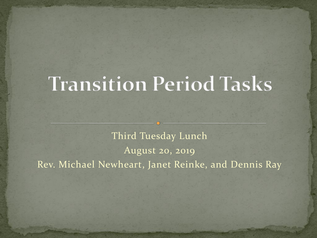# **Transition Period Tasks**

Third Tuesday Lunch August 20, 2019 Rev. Michael Newheart, Janet Reinke, and Dennis Ray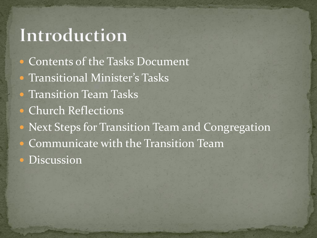#### Introduction

- Contents of the Tasks Document
- **Transitional Minister's Tasks**
- **Transition Team Tasks**
- Church Reflections
- **Next Steps for Transition Team and Congregation**
- Communicate with the Transition Team
- **·** Discussion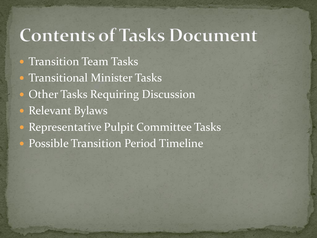#### **Contents of Tasks Document**

- **Transition Team Tasks**
- **Transitional Minister Tasks**
- Other Tasks Requiring Discussion
- Relevant Bylaws
- Representative Pulpit Committee Tasks Possible Transition Period Timeline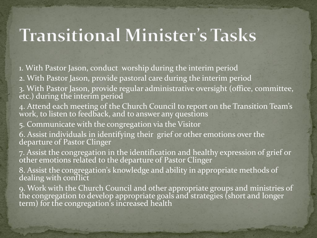## **Transitional Minister's Tasks**

1. With Pastor Jason, conduct worship during the interim period

2. With Pastor Jason, provide pastoral care during the interim period

3. With Pastor Jason, provide regular administrative oversight (office, committee, etc.) during the interim period

4. Attend each meeting of the Church Council to report on the Transition Team's work, to listen to feedback, and to answer any questions

5. Communicate with the congregation via the Visitor

6. Assist individuals in identifying their grief or other emotions over the departure of Pastor Clinger

7. Assist the congregation in the identification and healthy expression of grief or other emotions related to the departure of Pastor Clinger

8. Assist the congregation's knowledge and ability in appropriate methods of dealing with conflict

9. Work with the Church Council and other appropriate groups and ministries of the congregation to develop appropriate goals and strategies (short and longer term) for the congregation's increased health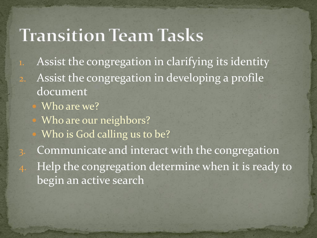#### **Transition Team Tasks**

- 1. Assist the congregation in clarifying its identity 2. Assist the congregation in developing a profile document
	- Who are we?
	- Who are our neighbors?
	- Who is God calling us to be?
- Communicate and interact with the congregation 4. Help the congregation determine when it is ready to begin an active search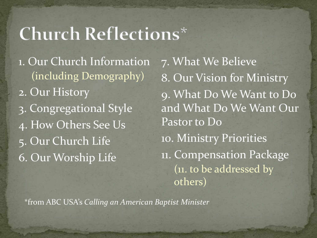# **Church Reflections\***

1. Our Church Information (including Demography) 2. Our History 3. Congregational Style 4. How Others See Us 5. Our Church Life 6. Our Worship Life

7. What We Believe 8. Our Vision for Ministry 9. What Do We Want to Do and What Do We Want Our Pastor to Do 10. Ministry Priorities 11. Compensation Package (11. to be addressed by others)

\*from ABC USA's *Calling an American Baptist Minister*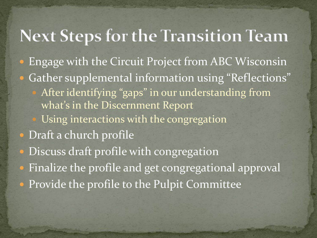#### **Next Steps for the Transition Team**

- Engage with the Circuit Project from ABC Wisconsin
- Gather supplemental information using "Reflections"
	- After identifying "gaps" in our understanding from what's in the Discernment Report
	- Using interactions with the congregation
- Draft a church profile
- Discuss draft profile with congregation
- Finalize the profile and get congregational approval
- Provide the profile to the Pulpit Committee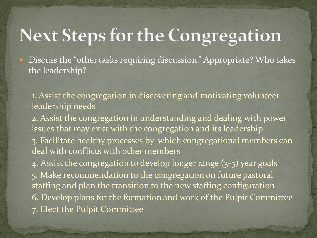### **Next Steps for the Congregation**

• Discuss the "other tasks requiring discussion." Appropriate? Who takes the leadership?

1. Assist the congregation in discovering and motivating volunteer leadership needs

2. Assist the congregation in understanding and dealing with power issues that may exist with the congregation and its leadership 3. Facilitate healthy processes by which congregational members can deal with conflicts with other members

4. Assist the congregation to develop longer range (3-5) year goals 5. Make recommendation to the congregation on future pastoral staffing and plan the transition to the new staffing configuration 6. Develop plans for the formation and work of the Pulpit Committee 7. Elect the Pulpit Committee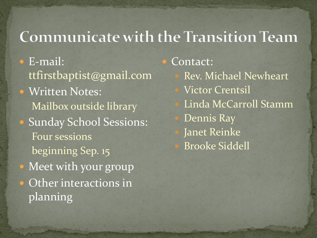#### **Communicate with the Transition Team**

 E-mail: ttfirstbaptist@gmail.com • Written Notes: Mailbox outside library • Sunday School Sessions: Four sessions beginning Sep. 15 • Meet with your group • Other interactions in planning

 Contact: Rev. Michael Newheart Victor Crentsil Linda McCarroll Stamm Dennis Ray Janet Reinke Brooke Siddell